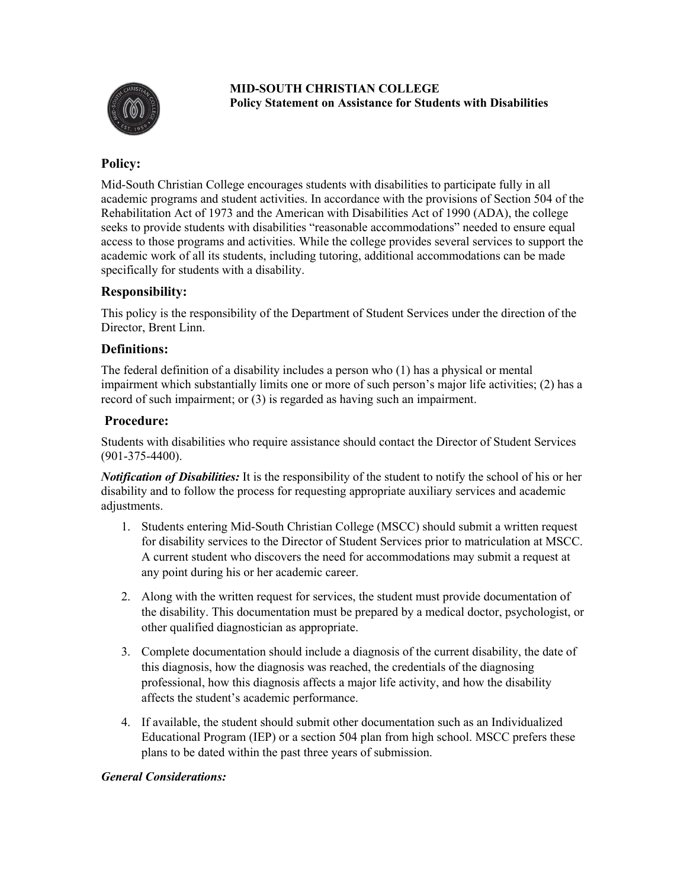

**MID-SOUTH CHRISTIAN COLLEGE Policy Statement on Assistance for Students with Disabilities**

# **Policy:**

Mid-South Christian College encourages students with disabilities to participate fully in all academic programs and student activities. In accordance with the provisions of Section 504 of the Rehabilitation Act of 1973 and the American with Disabilities Act of 1990 (ADA), the college seeks to provide students with disabilities "reasonable accommodations" needed to ensure equal access to those programs and activities. While the college provides several services to support the academic work of all its students, including tutoring, additional accommodations can be made specifically for students with a disability.

## **Responsibility:**

This policy is the responsibility of the Department of Student Services under the direction of the Director, Brent Linn.

## **Definitions:**

The federal definition of a disability includes a person who (1) has a physical or mental impairment which substantially limits one or more of such person's major life activities; (2) has a record of such impairment; or (3) is regarded as having such an impairment.

## **Procedure:**

Students with disabilities who require assistance should contact the Director of Student Services (901-375-4400).

*Notification of Disabilities:* It is the responsibility of the student to notify the school of his or her disability and to follow the process for requesting appropriate auxiliary services and academic adjustments.

- 1. Students entering Mid-South Christian College (MSCC) should submit a written request for disability services to the Director of Student Services prior to matriculation at MSCC. A current student who discovers the need for accommodations may submit a request at any point during his or her academic career.
- 2. Along with the written request for services, the student must provide documentation of the disability. This documentation must be prepared by a medical doctor, psychologist, or other qualified diagnostician as appropriate.
- 3. Complete documentation should include a diagnosis of the current disability, the date of this diagnosis, how the diagnosis was reached, the credentials of the diagnosing professional, how this diagnosis affects a major life activity, and how the disability affects the student's academic performance.
- 4. If available, the student should submit other documentation such as an Individualized Educational Program (IEP) or a section 504 plan from high school. MSCC prefers these plans to be dated within the past three years of submission.

## *General Considerations:*